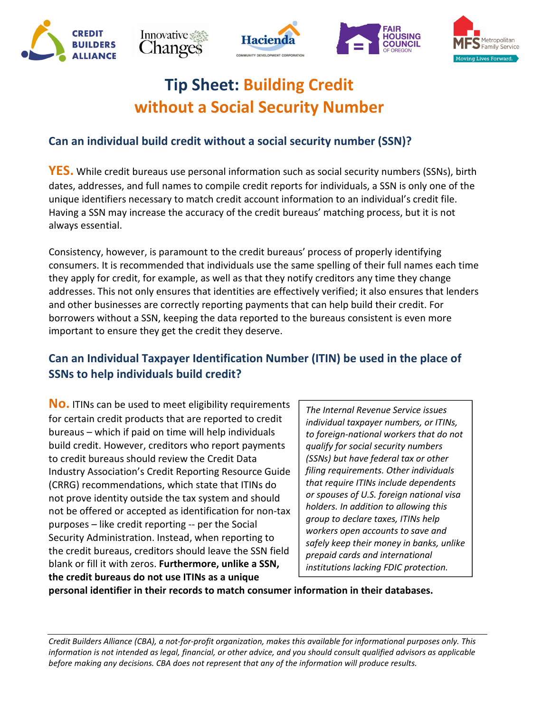









## **Tip Sheet: Building Credit without a Social Security Number**

#### **Can an individual build credit without a social security number (SSN)?**

**YES.** While credit bureaus use personal information such as social security numbers (SSNs), birth dates, addresses, and full names to compile credit reports for individuals, a SSN is only one of the unique identifiers necessary to match credit account information to an individual's credit file. Having a SSN may increase the accuracy of the credit bureaus' matching process, but it is not always essential.

Consistency, however, is paramount to the credit bureaus' process of properly identifying consumers. It is recommended that individuals use the same spelling of their full names each time they apply for credit, for example, as well as that they notify creditors any time they change addresses. This not only ensures that identities are effectively verified; it also ensures that lenders and other businesses are correctly reporting payments that can help build their credit. For borrowers without a SSN, keeping the data reported to the bureaus consistent is even more important to ensure they get the credit they deserve.

#### **Can an Individual Taxpayer Identification Number (ITIN) be used in the place of SSNs to help individuals build credit?**

**No.** ITINs can be used to meet eligibility requirements for certain credit products that are reported to credit bureaus – which if paid on time will help individuals build credit. However, creditors who report payments to credit bureaus should review the Credit Data Industry Association's Credit Reporting Resource Guide (CRRG) recommendations, which state that ITINs do not prove identity outside the tax system and should not be offered or accepted as identification for non-tax purposes – like credit reporting -- per the Social Security Administration. Instead, when reporting to the credit bureaus, creditors should leave the SSN field blank or fill it with zeros. **Furthermore, unlike a SSN, the credit bureaus do not use ITINs as a unique** 

*The Internal Revenue Service issues individual taxpayer numbers, or ITINs, to foreign-national workers that do not qualify for social security numbers (SSNs) but have federal tax or other filing requirements. Other individuals that require ITINs include dependents or spouses of U.S. foreign national visa holders. In addition to allowing this group to declare taxes, ITINs help workers open accounts to save and safely keep their money in banks, unlike prepaid cards and international institutions lacking FDIC protection.* 

**personal identifier in their records to match consumer information in their databases.**

*Credit Builders Alliance (CBA), a not-for-profit organization, makes this available for informational purposes only. This information is not intended as legal, financial, or other advice, and you should consult qualified advisors as applicable before making any decisions. CBA does not represent that any of the information will produce results.*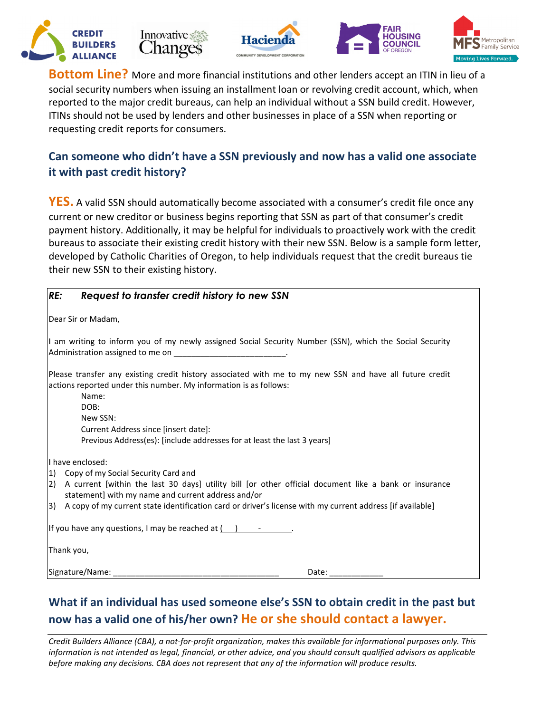









**Bottom Line?** More and more financial institutions and other lenders accept an ITIN in lieu of a social security numbers when issuing an installment loan or revolving credit account, which, when reported to the major credit bureaus, can help an individual without a SSN build credit. However, ITINs should not be used by lenders and other businesses in place of a SSN when reporting or requesting credit reports for consumers.

#### **Can someone who didn't have a SSN previously and now has a valid one associate it with past credit history?**

**YES.** A valid SSN should automatically become associated with a consumer's credit file once any current or new creditor or business begins reporting that SSN as part of that consumer's credit payment history. Additionally, it may be helpful for individuals to proactively work with the credit bureaus to associate their existing credit history with their new SSN. Below is a sample form letter, developed by Catholic Charities of Oregon, to help individuals request that the credit bureaus tie their new SSN to their existing history.

| RE:<br>Request to transfer credit history to new SSN                                                                                                                                                                                                                                                                         |
|------------------------------------------------------------------------------------------------------------------------------------------------------------------------------------------------------------------------------------------------------------------------------------------------------------------------------|
| Dear Sir or Madam,                                                                                                                                                                                                                                                                                                           |
| I am writing to inform you of my newly assigned Social Security Number (SSN), which the Social Security<br>Administration assigned to me on ___________________________.                                                                                                                                                     |
| Please transfer any existing credit history associated with me to my new SSN and have all future credit<br>actions reported under this number. My information is as follows:<br>Name:<br>DOB:<br>New SSN:<br>Current Address since [insert date]:<br>Previous Address(es): [include addresses for at least the last 3 years] |
| II have enclosed:                                                                                                                                                                                                                                                                                                            |
| $ 1\rangle$<br>Copy of my Social Security Card and                                                                                                                                                                                                                                                                           |
| A current [within the last 30 days] utility bill [or other official document like a bank or insurance<br>$\left( 2\right)$<br>statement] with my name and current address and/or                                                                                                                                             |
| 3)<br>A copy of my current state identification card or driver's license with my current address [if available]                                                                                                                                                                                                              |
| If you have any questions, I may be reached at $($ $)$ $   \ldots$                                                                                                                                                                                                                                                           |
| Thank you,                                                                                                                                                                                                                                                                                                                   |
| Signature/Name:<br>Date:                                                                                                                                                                                                                                                                                                     |

### **What if an individual has used someone else's SSN to obtain credit in the past but now has a valid one of his/her own? He or she should contact a lawyer.**

*Credit Builders Alliance (CBA), a not-for-profit organization, makes this available for informational purposes only. This information is not intended as legal, financial, or other advice, and you should consult qualified advisors as applicable before making any decisions. CBA does not represent that any of the information will produce results.*